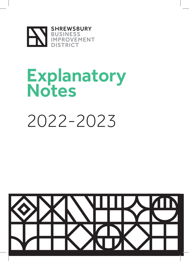

## **Explanatory** Notes

# 2022-2023

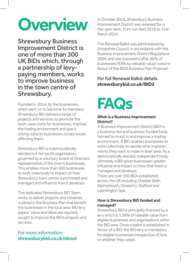# **Overview**

Shrewsbury Business Improvement District is one of more than 300 UK BIDs which, through a partnership of levypaying members, works to improve business in the town centre of Shrewsbury.

Founded in 2014, by the businesses which went on to become its members, Shrewsbury BID delivers a range of projects and services to promote the town, save costs for businesses, improve the trading environment and give a strong voice to businesses on key issues affecting them.

Shrewsbury BID is a democratically elected not-for-profit organisation, governed by a voluntary board of Directors representative of the town's businesses. This enables more than 500 businesses to work collectively to impact on how Shrewsbury town centre is promoted and managed and influence how it develops.

The dedicated Shrewsbury BID Team works to deliver projects and initiatives outlined in the Business Plan that benefit the businesses in the local area. BID levy payers' views and ideas are regularly sought to improve the BID's projects and services.

#### For more information shrewsburybid.co.uk/about

In October 2018, Shrewsbury Business Improvement District was renewed for a five-year term, from 1st April 2019 to 31st March 2024.

The Renewal Ballot was administered by Shropshire Council, in accordance with the Business Improvement District Regulations 2004, and was successful after 88% of businesses (93% by rateable value) voted in favour of the BID2 Business Plan Proposal.

#### For full Renewal Ballot details shrewsburybid.co.uk/BID2

## **FAQs**

#### What is a Business Improvement District?

A Business Improvement District (BID) is a business-led and business-funded body formed to invest in and improve a trading environment. A BID enables businesses to work collectively to decide what improvements they want to make in their area. As a democratically elected, independent body, ultimately a BID gives businesses greater influence and impact on how their town is managed and develops.

There are over 300 BIDs established across the UK including Chester, Bath, Aberystwyth, Oswestry, Stafford and Leamington Spa.

#### How is Shrewsbury BID funded and managed?

Shrewsbury BID is principally financed by a levy which is 1.56% of rateable value from eligible businesses and organisations within the BID area. Once a ballot is established in favour of a BID, the BID levy is mandatory for eligible businesses irrespective of how or whether they voted.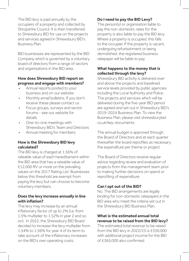The BID levy is paid annually by the occupiers of a property and collected by Shropshire Council. It is then transferred to Shrewsbury BID for use on the projects and services agreed in Shrewsbury BID's Business Plan.

BID businesses are represented by the BID Company which is governed by a voluntary board of directors from a range of sectors and organisations in the BID area.

#### How does Shrewsbury BID report on progress and engage with members?

- Annual reports posted to your business and on our website
- Monthly email bulletins. If you don't receive these please contact us
- Focus groups, surveys and sector forums - see our website for details
- One-to-one meetings with Shrewsbury BID's Team and Directors
- Annual meeting for members

#### How is the Shrewsbury BID levy calculated?

The BID levy is charged at 1.56% of rateable value of each hereditament within the BID area that has a rateable value of £12,000 RV or more on the prevailing values on the 2017 Rating List. Businesses below this threshold are exempt from paying the levy but can choose to become voluntary members.

#### Does the levy increase annually in line with inflation?

The levy may increase by an annual inflationary factor of up to 2% (i.e. from 1.5% multiplier to 1.52% in year 2 and so on). In 2022, the Shrewsbury BID Board decided to increase the levy multiplier from 1.54% to 1.56% for year 4 of its term to take account of the inflationary increases on the BID's own operating costs.

#### Do I need to pay the BID Levy?

The person(s) or organisation liable to pay the non-domestic rates for the property is also liable to pay the BID levy. Where a property is occupied, this falls to the occupier. If the property is vacant, undergoing refurbishment or being demolished, the registered business ratepayer will be liable to pay.

#### What happens to the money that is collected through the levy?

Shrewsbury BID activity is delivered over and above the projects and baselined service levels provided by public agencies including the Local Authority and Police. The projects and services which will be delivered during the five-year BID period are agreed and set out in Shrewsbury BID's 2019-2024 Business Plan. To view the Business Plan, please visit shrewsburybid. co.uk/key-documents

The annual budget is approved through the Board of Directors and at each quarter thereafter the board reprofiles as necessary the expenditure per theme or project.

The Board of Directors receive regular advice regarding review and evaluation of projects from the management team prior to making further decisions on spend or reprofiling of expenditure.

#### Can I opt out of the BID?

No. The BID arrangements are legally binding for non-domestic ratepayers in the BID area who meet the criteria set out in the Shrewsbury BID Business Plan.

#### What is the estimated annual total revenue to be raised from the BID levy?

The estimated total revenue to be raised from the BID levy in 2022/23 is £330,000 with additional project income for the BID of £365,000 also confirmed.